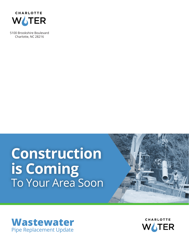

5100 Brookshire Boulevard Charlotte, NC 28216

# **Construction is Coming**  To Your Area Soon